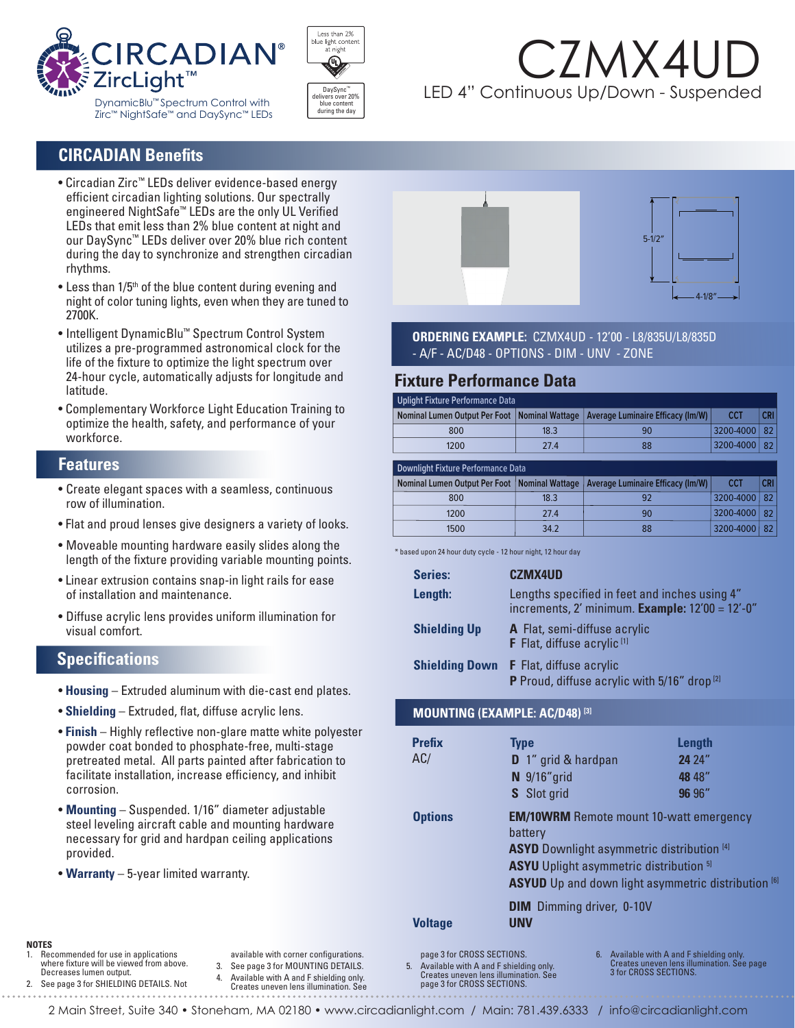



# CZMX4U LED 4" Continuous Up/Down - Suspended

### **CIRCADIAN Benefits**

- Circadian Zirc™ LEDs deliver evidence-based energy efficient circadian lighting solutions. Our spectrally engineered NightSafe™ LEDs are the only UL Verified LEDs that emit less than 2% blue content at night and our DaySync™ LEDs deliver over 20% blue rich content during the day to synchronize and strengthen circadian rhythms.
- Less than 1/5<sup>th</sup> of the blue content during evening and night of color tuning lights, even when they are tuned to 2700K.
- Intelligent DynamicBlu™ Spectrum Control System utilizes a pre-programmed astronomical clock for the life of the fixture to optimize the light spectrum over 24-hour cycle, automatically adjusts for longitude and latitude.
- Complementary Workforce Light Education Training to optimize the health, safety, and performance of your workforce.

#### **Features**

- Create elegant spaces with a seamless, continuous row of illumination.
- Flat and proud lenses give designers a variety of looks.
- Moveable mounting hardware easily slides along the length of the fixture providing variable mounting points.
- Linear extrusion contains snap-in light rails for ease of installation and maintenance.
- Diffuse acrylic lens provides uniform illumination for visual comfort.

### **Specifications**

- **Housing** Extruded aluminum with die-cast end plates.
- **Shielding** Extruded, flat, diffuse acrylic lens.
- **Finish** Highly reflective non-glare matte white polyester powder coat bonded to phosphate-free, multi-stage pretreated metal. All parts painted after fabrication to facilitate installation, increase efficiency, and inhibit corrosion.
- **Mounting** Suspended. 1/16"″diameter adjustable steel leveling aircraft cable and mounting hardware necessary for grid and hardpan ceiling applications provided.
- **Warranty** 5-year limited warranty.



**ORDERING EXAMPLE:** CZMX4UD - 12'00 - L8/835U/L8/835D - A/F - AC/D48 - OPTIONS - DIM - UNV- ZONE

#### **Fixture Performance Data**

|            | Uplight Fixture Performance Data |                                                                                     |      |      |  |  |  |  |
|------------|----------------------------------|-------------------------------------------------------------------------------------|------|------|--|--|--|--|
| <b>CRI</b> | <b>CCT</b>                       | Nominal Lumen Output Per Foot   Nominal Wattage   Average Luminaire Efficacy (Im/W) |      |      |  |  |  |  |
|            | 3200-4000   82                   | 90                                                                                  | 18.3 | 800  |  |  |  |  |
|            | $ 3200 - 4000 $ 82               | 88                                                                                  | 27 4 | 1200 |  |  |  |  |
|            |                                  |                                                                                     |      |      |  |  |  |  |

| Downlight Fixture Performance Data              |      |                                   |                |            |  |  |  |
|-------------------------------------------------|------|-----------------------------------|----------------|------------|--|--|--|
| Nominal Lumen Output Per Foot   Nominal Wattage |      | Average Luminaire Efficacy (Im/W) | <b>CCT</b>     | <b>CRI</b> |  |  |  |
| 800                                             | 18.3 | 92                                | 3200-4000   82 |            |  |  |  |
| 1200                                            | 27.4 | 90                                | 3200-4000   82 |            |  |  |  |
| 1500                                            | 34.2 | 88                                | 3200-4000   82 |            |  |  |  |

\* based upon 24 hour duty cycle - 12 hour night, 12 hour day

| Series:               | <b>CZMX4UD</b>                                                                                        |  |  |
|-----------------------|-------------------------------------------------------------------------------------------------------|--|--|
| Length:               | Lengths specified in feet and inches using 4"<br>increments, $2'$ minimum. Example: $12'00 = 12'-0''$ |  |  |
| <b>Shielding Up</b>   | A Flat, semi-diffuse acrylic<br>F Flat, diffuse acrylic <sup>[1]</sup>                                |  |  |
| <b>Shielding Down</b> | <b>F</b> Flat, diffuse acrylic<br>P Proud, diffuse acrylic with 5/16" drop <sup>[2]</sup>             |  |  |

#### **MOUNTING (EXAMPLE: AC/D48) [3]**

| <b>Prefix</b><br>AC/ | <b>Type</b><br><b>D</b> 1" grid & hardpan<br>$N$ 9/16" grid<br>S Slot grid                                                                                                                                                                | Length<br>24 24"<br>48 48"<br>96 96" |  |  |
|----------------------|-------------------------------------------------------------------------------------------------------------------------------------------------------------------------------------------------------------------------------------------|--------------------------------------|--|--|
| <b>Options</b>       | <b>EM/10WRM</b> Remote mount 10-watt emergency<br>battery<br><b>ASYD</b> Downlight asymmetric distribution [4]<br><b>ASYU</b> Uplight asymmetric distribution <sup>5]</sup><br><b>ASYUD</b> Up and down light asymmetric distribution [6] |                                      |  |  |
| <b>Voltage</b>       | <b>DIM</b> Dimming driver, 0-10V<br><b>UNV</b>                                                                                                                                                                                            |                                      |  |  |

**NOTES**

- Recommended for use in applications where fixture will be viewed from above. Decreases lumen output.
- 2. See page 3 for SHIELDING DETAILS. Not
- 3. See page 3 for MOUNTING DETAILS. 4. Available with A and F shielding only.
- Creates uneven lens illumination. See

available with corner configurations.

 page 3 for CROSS SECTIONS. 5. Available with A and F shielding only. Creates uneven lens illumination. See page 3 for CROSS SECTIONS.

6. Available with A and F shielding only. Creates uneven lens illumination. See page 3 for CROSS SECTIONS.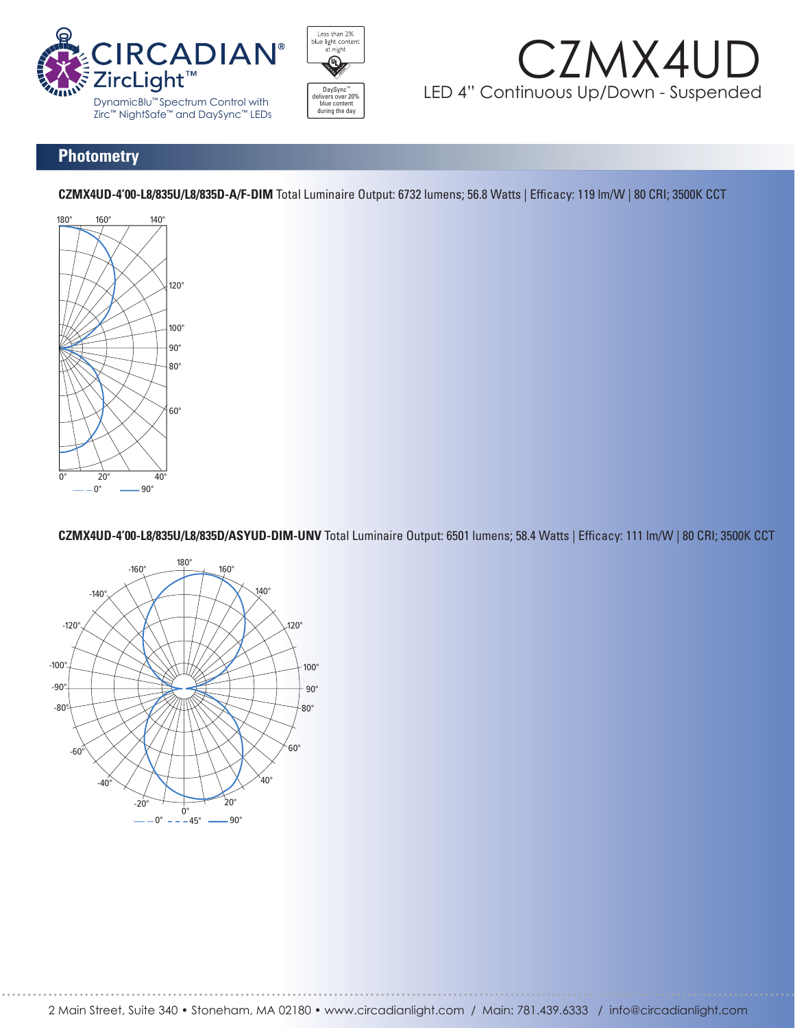





#### **Photometry**

**CZMX4UD-4'00-L8/835U/L8/835D-A/F-DIM** Total Luminaire Output: 6732 lumens; 56.8 Watts | Efficacy: 119 lm/W | 80 CRI; 3500K CCT



CZMX4UD-4'00-L8/835U/L8/835D/ASYUD-DIM-UNV Total Luminaire Output: 6501 lumens; 58.4 Watts | Efficacy: 111 lm/W | 80 CRI; 3500K CCT